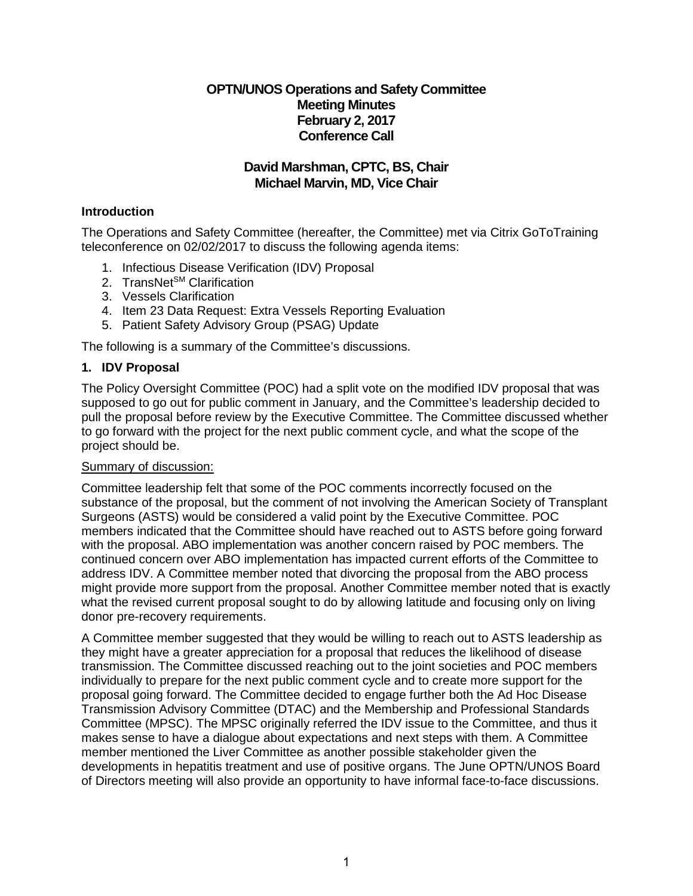# **OPTN/UNOS Operations and Safety Committee Meeting Minutes February 2, 2017 Conference Call**

# **David Marshman, CPTC, BS, Chair Michael Marvin, MD, Vice Chair**

## **Introduction**

The Operations and Safety Committee (hereafter, the Committee) met via Citrix GoToTraining teleconference on 02/02/2017 to discuss the following agenda items:

- 1. Infectious Disease Verification (IDV) Proposal
- 2. TransNet<sup>SM</sup> Clarification
- 3. Vessels Clarification
- 4. Item 23 Data Request: Extra Vessels Reporting Evaluation
- 5. Patient Safety Advisory Group (PSAG) Update

The following is a summary of the Committee's discussions.

# **1. IDV Proposal**

The Policy Oversight Committee (POC) had a split vote on the modified IDV proposal that was supposed to go out for public comment in January, and the Committee's leadership decided to pull the proposal before review by the Executive Committee. The Committee discussed whether to go forward with the project for the next public comment cycle, and what the scope of the project should be.

### Summary of discussion:

Committee leadership felt that some of the POC comments incorrectly focused on the substance of the proposal, but the comment of not involving the American Society of Transplant Surgeons (ASTS) would be considered a valid point by the Executive Committee. POC members indicated that the Committee should have reached out to ASTS before going forward with the proposal. ABO implementation was another concern raised by POC members. The continued concern over ABO implementation has impacted current efforts of the Committee to address IDV. A Committee member noted that divorcing the proposal from the ABO process might provide more support from the proposal. Another Committee member noted that is exactly what the revised current proposal sought to do by allowing latitude and focusing only on living donor pre-recovery requirements.

A Committee member suggested that they would be willing to reach out to ASTS leadership as they might have a greater appreciation for a proposal that reduces the likelihood of disease transmission. The Committee discussed reaching out to the joint societies and POC members individually to prepare for the next public comment cycle and to create more support for the proposal going forward. The Committee decided to engage further both the Ad Hoc Disease Transmission Advisory Committee (DTAC) and the Membership and Professional Standards Committee (MPSC). The MPSC originally referred the IDV issue to the Committee, and thus it makes sense to have a dialogue about expectations and next steps with them. A Committee member mentioned the Liver Committee as another possible stakeholder given the developments in hepatitis treatment and use of positive organs. The June OPTN/UNOS Board of Directors meeting will also provide an opportunity to have informal face-to-face discussions.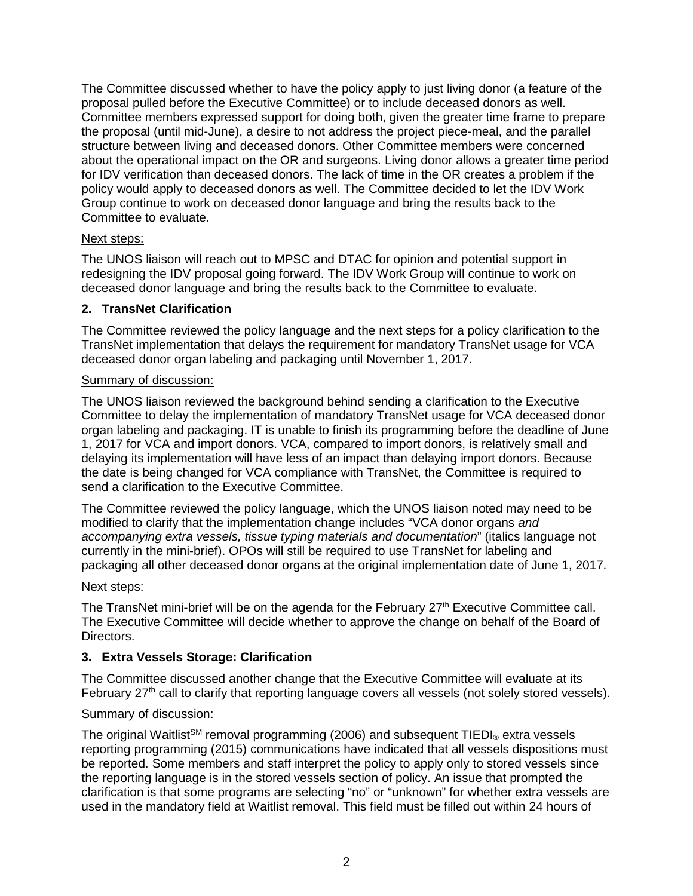The Committee discussed whether to have the policy apply to just living donor (a feature of the proposal pulled before the Executive Committee) or to include deceased donors as well. Committee members expressed support for doing both, given the greater time frame to prepare the proposal (until mid-June), a desire to not address the project piece-meal, and the parallel structure between living and deceased donors. Other Committee members were concerned about the operational impact on the OR and surgeons. Living donor allows a greater time period for IDV verification than deceased donors. The lack of time in the OR creates a problem if the policy would apply to deceased donors as well. The Committee decided to let the IDV Work Group continue to work on deceased donor language and bring the results back to the Committee to evaluate.

### Next steps:

The UNOS liaison will reach out to MPSC and DTAC for opinion and potential support in redesigning the IDV proposal going forward. The IDV Work Group will continue to work on deceased donor language and bring the results back to the Committee to evaluate.

# **2. TransNet Clarification**

The Committee reviewed the policy language and the next steps for a policy clarification to the TransNet implementation that delays the requirement for mandatory TransNet usage for VCA deceased donor organ labeling and packaging until November 1, 2017.

### Summary of discussion:

The UNOS liaison reviewed the background behind sending a clarification to the Executive Committee to delay the implementation of mandatory TransNet usage for VCA deceased donor organ labeling and packaging. IT is unable to finish its programming before the deadline of June 1, 2017 for VCA and import donors. VCA, compared to import donors, is relatively small and delaying its implementation will have less of an impact than delaying import donors. Because the date is being changed for VCA compliance with TransNet, the Committee is required to send a clarification to the Executive Committee.

The Committee reviewed the policy language, which the UNOS liaison noted may need to be modified to clarify that the implementation change includes "VCA donor organs *and accompanying extra vessels, tissue typing materials and documentation*" (italics language not currently in the mini-brief). OPOs will still be required to use TransNet for labeling and packaging all other deceased donor organs at the original implementation date of June 1, 2017.

### Next steps:

The TransNet mini-brief will be on the agenda for the February  $27<sup>th</sup>$  Executive Committee call. The Executive Committee will decide whether to approve the change on behalf of the Board of Directors.

### **3. Extra Vessels Storage: Clarification**

The Committee discussed another change that the Executive Committee will evaluate at its February  $27<sup>th</sup>$  call to clarify that reporting language covers all vessels (not solely stored vessels).

### Summary of discussion:

The original Waitlist<sup>SM</sup> removal programming (2006) and subsequent TIEDI® extra vessels reporting programming (2015) communications have indicated that all vessels dispositions must be reported. Some members and staff interpret the policy to apply only to stored vessels since the reporting language is in the stored vessels section of policy. An issue that prompted the clarification is that some programs are selecting "no" or "unknown" for whether extra vessels are used in the mandatory field at Waitlist removal. This field must be filled out within 24 hours of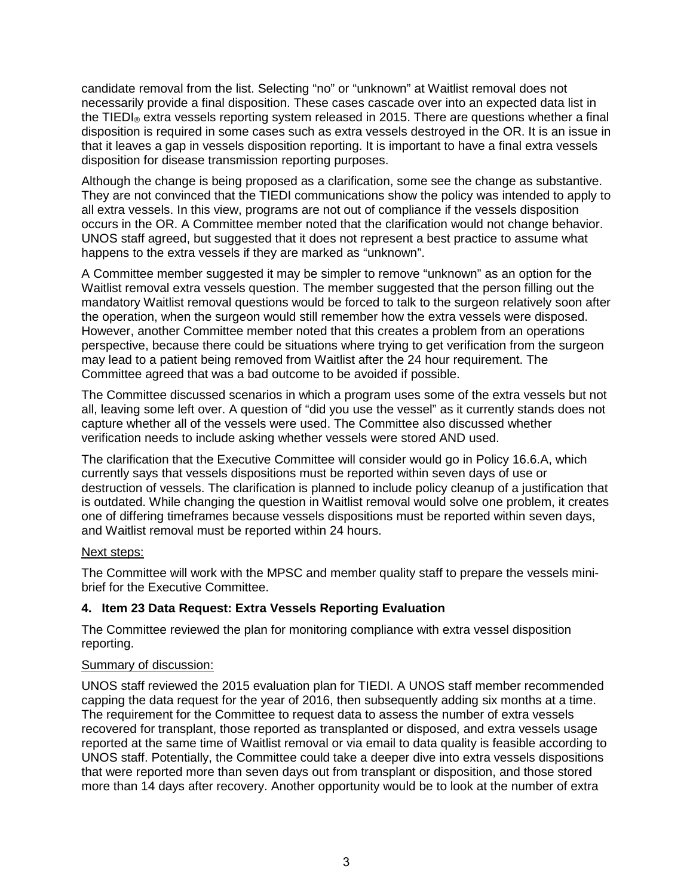candidate removal from the list. Selecting "no" or "unknown" at Waitlist removal does not necessarily provide a final disposition. These cases cascade over into an expected data list in the TIEDI<sub>®</sub> extra vessels reporting system released in 2015. There are questions whether a final disposition is required in some cases such as extra vessels destroyed in the OR. It is an issue in that it leaves a gap in vessels disposition reporting. It is important to have a final extra vessels disposition for disease transmission reporting purposes.

Although the change is being proposed as a clarification, some see the change as substantive. They are not convinced that the TIEDI communications show the policy was intended to apply to all extra vessels. In this view, programs are not out of compliance if the vessels disposition occurs in the OR. A Committee member noted that the clarification would not change behavior. UNOS staff agreed, but suggested that it does not represent a best practice to assume what happens to the extra vessels if they are marked as "unknown".

A Committee member suggested it may be simpler to remove "unknown" as an option for the Waitlist removal extra vessels question. The member suggested that the person filling out the mandatory Waitlist removal questions would be forced to talk to the surgeon relatively soon after the operation, when the surgeon would still remember how the extra vessels were disposed. However, another Committee member noted that this creates a problem from an operations perspective, because there could be situations where trying to get verification from the surgeon may lead to a patient being removed from Waitlist after the 24 hour requirement. The Committee agreed that was a bad outcome to be avoided if possible.

The Committee discussed scenarios in which a program uses some of the extra vessels but not all, leaving some left over. A question of "did you use the vessel" as it currently stands does not capture whether all of the vessels were used. The Committee also discussed whether verification needs to include asking whether vessels were stored AND used.

The clarification that the Executive Committee will consider would go in Policy 16.6.A, which currently says that vessels dispositions must be reported within seven days of use or destruction of vessels. The clarification is planned to include policy cleanup of a justification that is outdated. While changing the question in Waitlist removal would solve one problem, it creates one of differing timeframes because vessels dispositions must be reported within seven days, and Waitlist removal must be reported within 24 hours.

### Next steps:

The Committee will work with the MPSC and member quality staff to prepare the vessels minibrief for the Executive Committee.

### **4. Item 23 Data Request: Extra Vessels Reporting Evaluation**

The Committee reviewed the plan for monitoring compliance with extra vessel disposition reporting.

### Summary of discussion:

UNOS staff reviewed the 2015 evaluation plan for TIEDI. A UNOS staff member recommended capping the data request for the year of 2016, then subsequently adding six months at a time. The requirement for the Committee to request data to assess the number of extra vessels recovered for transplant, those reported as transplanted or disposed, and extra vessels usage reported at the same time of Waitlist removal or via email to data quality is feasible according to UNOS staff. Potentially, the Committee could take a deeper dive into extra vessels dispositions that were reported more than seven days out from transplant or disposition, and those stored more than 14 days after recovery. Another opportunity would be to look at the number of extra